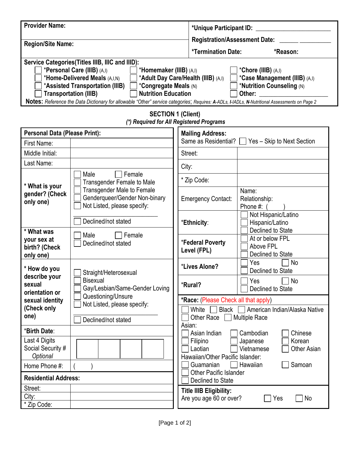| <b>Provider Name:</b>                                                                                                                         |                                                                                                   |                                                        | *Unique Participant ID: _____________                                           |  |  |  |  |  |  |
|-----------------------------------------------------------------------------------------------------------------------------------------------|---------------------------------------------------------------------------------------------------|--------------------------------------------------------|---------------------------------------------------------------------------------|--|--|--|--|--|--|
|                                                                                                                                               |                                                                                                   |                                                        | <b>Registration/Assessment Date:</b>                                            |  |  |  |  |  |  |
| <b>Region/Site Name:</b>                                                                                                                      |                                                                                                   |                                                        | *Termination Date:<br>*Reason:                                                  |  |  |  |  |  |  |
|                                                                                                                                               | Service Categories (Titles IIIB, IIIC and IIID):                                                  |                                                        |                                                                                 |  |  |  |  |  |  |
|                                                                                                                                               | *Personal Care (IIIB) (A,I)<br>*Homemaker (IIIB) (A,I)                                            |                                                        | *Chore (IIIB) (A,I)                                                             |  |  |  |  |  |  |
|                                                                                                                                               | *Home-Delivered Meals (A,I,N)<br>*Assisted Transportation (IIIB)<br>*Congregate Meals (N)         | *Adult Day Care/Health (IIIB) (A,I)                    | *Case Management (IIIB) (A,I)<br>*Nutrition Counseling (N)                      |  |  |  |  |  |  |
|                                                                                                                                               | <b>Nutrition Education</b><br><b>Transportation (IIIB)</b>                                        | Other:                                                 |                                                                                 |  |  |  |  |  |  |
| Notes: Reference the Data Dictionary for allowable "Other" service categories; Requires: A-ADLs, I-IADLs, N-Nutritional Assessments on Page 2 |                                                                                                   |                                                        |                                                                                 |  |  |  |  |  |  |
| <b>SECTION 1 (Client)</b><br>(*) Required for All Registered Programs                                                                         |                                                                                                   |                                                        |                                                                                 |  |  |  |  |  |  |
| <b>Personal Data (Please Print):</b>                                                                                                          |                                                                                                   | <b>Mailing Address:</b>                                |                                                                                 |  |  |  |  |  |  |
| First Name:                                                                                                                                   |                                                                                                   |                                                        | Same as Residential? $\Box$ Yes - Skip to Next Section                          |  |  |  |  |  |  |
| Middle Initial:                                                                                                                               |                                                                                                   | Street:                                                |                                                                                 |  |  |  |  |  |  |
| Last Name:                                                                                                                                    |                                                                                                   | City:                                                  |                                                                                 |  |  |  |  |  |  |
| * What is your<br>gender? (Check<br>only one)                                                                                                 | Female<br>Male<br><b>Transgender Female to Male</b>                                               | * Zip Code:                                            |                                                                                 |  |  |  |  |  |  |
|                                                                                                                                               | <b>Transgender Male to Female</b><br>Genderqueer/Gender Non-binary<br>Not Listed, please specify: | <b>Emergency Contact:</b>                              | Name:<br>Relationship:<br>Phone #:                                              |  |  |  |  |  |  |
|                                                                                                                                               | Declined/not stated                                                                               | *Ethnicity:                                            | Not Hispanic/Latino<br>Hispanic/Latino                                          |  |  |  |  |  |  |
| * What was<br>your sex at<br>birth? (Check<br>only one)                                                                                       | Female<br>Male<br>Declined/not stated                                                             | *Federal Poverty<br>Level (FPL)                        | Declined to State<br>At or below FPL<br>Above FPL<br>Declined to State          |  |  |  |  |  |  |
| * How do you<br>describe your<br>sexual<br>orientation or                                                                                     | Straight/Heterosexual                                                                             | *Lives Alone?                                          | No<br>Yes<br>Declined to State                                                  |  |  |  |  |  |  |
|                                                                                                                                               | <b>Bisexual</b><br>Gay/Lesbian/Same-Gender Loving                                                 | *Rural?                                                | No<br>Yes<br>Declined to State                                                  |  |  |  |  |  |  |
| sexual identity                                                                                                                               | Questioning/Unsure<br>Not Listed, please specify:                                                 | *Race: (Please Check all that apply)                   |                                                                                 |  |  |  |  |  |  |
| (Check only<br>one)                                                                                                                           |                                                                                                   | White<br>American Indian/Alaska Native<br>Black $\Box$ |                                                                                 |  |  |  |  |  |  |
|                                                                                                                                               | Declined/not stated                                                                               | Asian:                                                 | Other Race     Multiple Race                                                    |  |  |  |  |  |  |
| *Birth Date:                                                                                                                                  |                                                                                                   | Asian Indian                                           | Cambodian<br>Chinese                                                            |  |  |  |  |  |  |
| Last 4 Digits<br>Social Security #                                                                                                            |                                                                                                   | Filipino<br>Korean<br>Japanese                         |                                                                                 |  |  |  |  |  |  |
| Optional                                                                                                                                      |                                                                                                   |                                                        | Laotian<br>Vietnamese<br><b>Other Asian</b><br>Hawaiian/Other Pacific Islander: |  |  |  |  |  |  |
| Home Phone #:                                                                                                                                 |                                                                                                   | Samoan<br>Guamanian<br>Hawaiian                        |                                                                                 |  |  |  |  |  |  |
| <b>Residential Address:</b>                                                                                                                   |                                                                                                   | <b>Other Pacific Islander</b><br>Declined to State     |                                                                                 |  |  |  |  |  |  |
| Street:                                                                                                                                       |                                                                                                   | <b>Title IIIB Eligibility:</b>                         |                                                                                 |  |  |  |  |  |  |
| City:                                                                                                                                         |                                                                                                   | Yes<br><b>No</b><br>Are you age 60 or over?            |                                                                                 |  |  |  |  |  |  |
| * Zip Code:                                                                                                                                   |                                                                                                   |                                                        |                                                                                 |  |  |  |  |  |  |